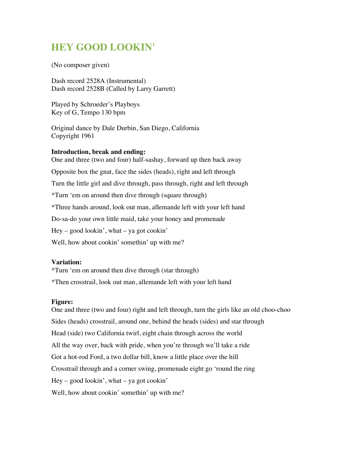# **HEY GOOD LOOKIN'**

(No composer given)

Dash record 2528A (Instrumental) Dash record 2528B (Called by Larry Garrett)

Played by Schroeder's Playboys Key of G, Tempo 130 bpm

Original dance by Dale Durbin, San Diego, California Copyright 1961

#### **Introduction, break and ending:**

One and three (two and four) half-sashay, forward up then back away Opposite box the gnat, face the sides (heads), right and left through Turn the little girl and dive through, pass through, right and left through \*Turn 'em on around then dive through (square through) \*Three hands around, look out man, allemande left with your left hand Do-sa-do your own little maid, take your honey and promenade  $Hey - good looking', what - ya got cookin'$ Well, how about cookin' somethin' up with me?

### **Variation:**

\*Turn 'em on around then dive through (star through) \*Then crosstrail, look out man, allemande left with your left hand

#### **Figure:**

One and three (two and four) right and left through, turn the girls like an old choo-choo Sides (heads) crosstrail, around one, behind the heads (sides) and star through Head (side) two California twirl, eight chain through across the world All the way over, back with pride, when you're through we'll take a ride Got a hot-rod Ford, a two dollar bill, know a little place over the hill Crosstrail through and a corner swing, promenade eight go 'round the ring  $Hey - good looking', what - ya got cookin'$ Well, how about cookin' somethin' up with me?